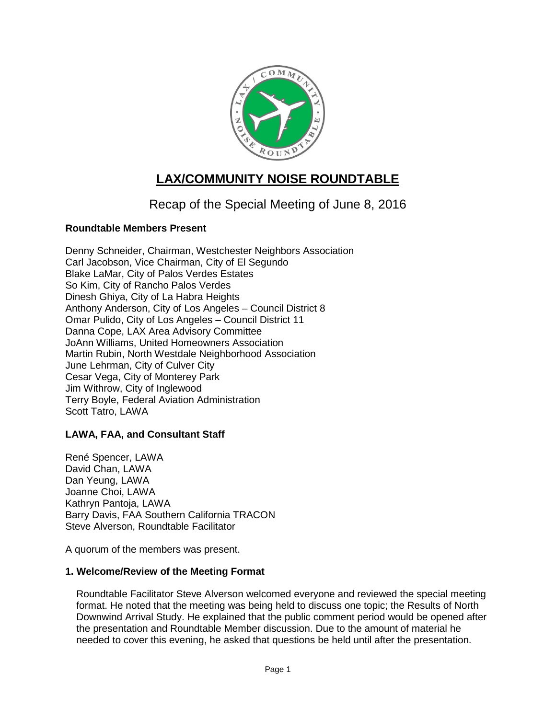

# **LAX/COMMUNITY NOISE ROUNDTABLE**

# Recap of the Special Meeting of June 8, 2016

# **Roundtable Members Present**

Denny Schneider, Chairman, Westchester Neighbors Association Carl Jacobson, Vice Chairman, City of El Segundo Blake LaMar, City of Palos Verdes Estates So Kim, City of Rancho Palos Verdes Dinesh Ghiya, City of La Habra Heights Anthony Anderson, City of Los Angeles – Council District 8 Omar Pulido, City of Los Angeles – Council District 11 Danna Cope, LAX Area Advisory Committee JoAnn Williams, United Homeowners Association Martin Rubin, North Westdale Neighborhood Association June Lehrman, City of Culver City Cesar Vega, City of Monterey Park Jim Withrow, City of Inglewood Terry Boyle, Federal Aviation Administration Scott Tatro, LAWA

# **LAWA, FAA, and Consultant Staff**

René Spencer, LAWA David Chan, LAWA Dan Yeung, LAWA Joanne Choi, LAWA Kathryn Pantoja, LAWA Barry Davis, FAA Southern California TRACON Steve Alverson, Roundtable Facilitator

A quorum of the members was present.

# **1. Welcome/Review of the Meeting Format**

Roundtable Facilitator Steve Alverson welcomed everyone and reviewed the special meeting format. He noted that the meeting was being held to discuss one topic; the Results of North Downwind Arrival Study. He explained that the public comment period would be opened after the presentation and Roundtable Member discussion. Due to the amount of material he needed to cover this evening, he asked that questions be held until after the presentation.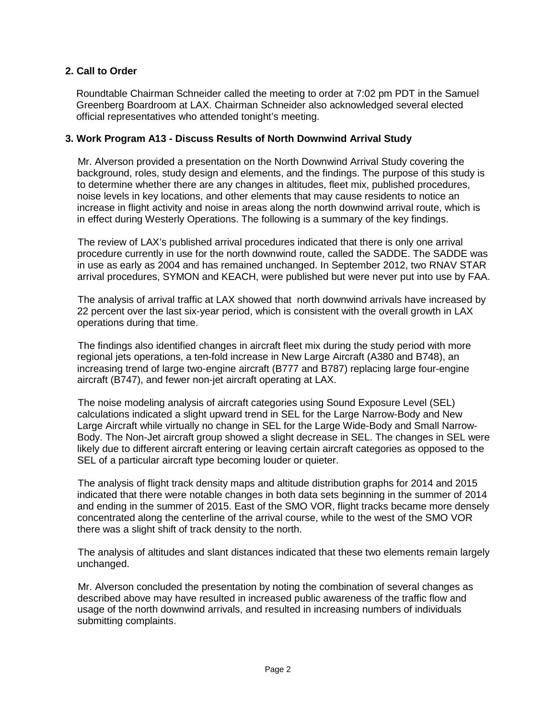#### **2. Call to Order**

Roundtable Chairman Schneider called the meeting to order at 7:02 pm PDT in the Samuel Greenberg Boardroom at LAX. Chairman Schneider also acknowledged several elected official representatives who attended tonight's meeting.

#### **3. Work Program A13 - Discuss Results of North Downwind Arrival Study**

Mr. Alverson provided a presentation on the North Downwind Arrival Study covering the background, roles, study design and elements, and the findings. The purpose of this study is to determine whether there are any changes in altitudes, fleet mix, published procedures, noise levels in key locations, and other elements that may cause residents to notice an increase in flight activity and noise in areas along the north downwind arrival route, which is in effect during Westerly Operations. The following is a summary of the key findings.

The review of LAX's published arrival procedures indicated that there is only one arrival procedure currently in use for the north downwind route, called the SADDE. The SADDE was in use as early as 2004 and has remained unchanged. In September 2012, two RNAV STAR arrival procedures, SYMON and KEACH, were published but were never put into use by FAA.

The analysis of arrival traffic at LAX showed that north downwind arrivals have increased by 22 percent over the last six-year period, which is consistent with the overall growth in LAX operations during that time.

The findings also identified changes in aircraft fleet mix during the study period with more regional jets operations, a ten-fold increase in New Large Aircraft (A380 and B748), an increasing trend of large two-engine aircraft (B777 and B787) replacing large four-engine aircraft (B747), and fewer non-jet aircraft operating at LAX.

The noise modeling analysis of aircraft categories using Sound Exposure Level (SEL) calculations indicated a slight upward trend in SEL for the Large Narrow-Body and New Large Aircraft while virtually no change in SEL for the Large Wide-Body and Small Narrow-Body. The Non-Jet aircraft group showed a slight decrease in SEL. The changes in SEL were likely due to different aircraft entering or leaving certain aircraft categories as opposed to the SEL of a particular aircraft type becoming louder or quieter.

The analysis of flight track density maps and altitude distribution graphs for 2014 and 2015 indicated that there were notable changes in both data sets beginning in the summer of 2014 and ending in the summer of 2015. East of the SMO VOR, flight tracks became more densely concentrated along the centerline of the arrival course, while to the west of the SMO VOR there was a slight shift of track density to the north.

The analysis of altitudes and slant distances indicated that these two elements remain largely unchanged.

Mr. Alverson concluded the presentation by noting the combination of several changes as described above may have resulted in increased public awareness of the traffic flow and usage of the north downwind arrivals, and resulted in increasing numbers of individuals submitting complaints.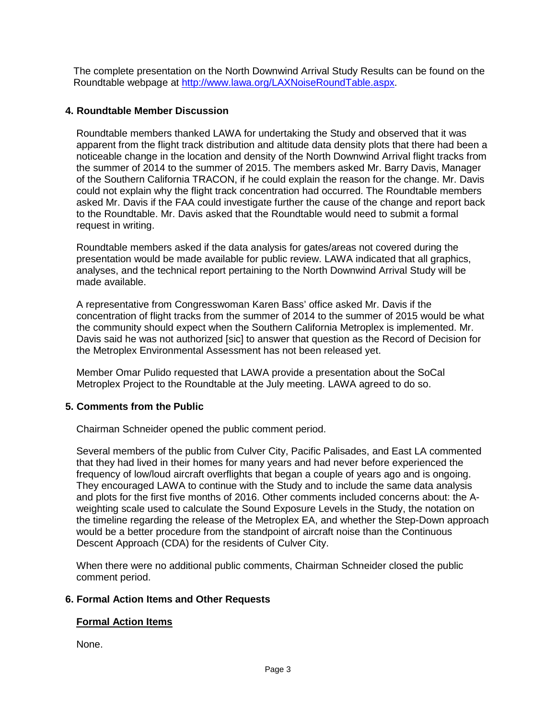The complete presentation on the North Downwind Arrival Study Results can be found on the Roundtable webpage at [http://www.lawa.org/LAXNoiseRoundTable.aspx.](http://www.lawa.org/LAXNoiseRoundTable.aspx)

#### **4. Roundtable Member Discussion**

Roundtable members thanked LAWA for undertaking the Study and observed that it was apparent from the flight track distribution and altitude data density plots that there had been a noticeable change in the location and density of the North Downwind Arrival flight tracks from the summer of 2014 to the summer of 2015. The members asked Mr. Barry Davis, Manager of the Southern California TRACON, if he could explain the reason for the change. Mr. Davis could not explain why the flight track concentration had occurred. The Roundtable members asked Mr. Davis if the FAA could investigate further the cause of the change and report back to the Roundtable. Mr. Davis asked that the Roundtable would need to submit a formal request in writing.

Roundtable members asked if the data analysis for gates/areas not covered during the presentation would be made available for public review. LAWA indicated that all graphics, analyses, and the technical report pertaining to the North Downwind Arrival Study will be made available.

A representative from Congresswoman Karen Bass' office asked Mr. Davis if the concentration of flight tracks from the summer of 2014 to the summer of 2015 would be what the community should expect when the Southern California Metroplex is implemented. Mr. Davis said he was not authorized [sic] to answer that question as the Record of Decision for the Metroplex Environmental Assessment has not been released yet.

Member Omar Pulido requested that LAWA provide a presentation about the SoCal Metroplex Project to the Roundtable at the July meeting. LAWA agreed to do so.

# **5. Comments from the Public**

Chairman Schneider opened the public comment period.

Several members of the public from Culver City, Pacific Palisades, and East LA commented that they had lived in their homes for many years and had never before experienced the frequency of low/loud aircraft overflights that began a couple of years ago and is ongoing. They encouraged LAWA to continue with the Study and to include the same data analysis and plots for the first five months of 2016. Other comments included concerns about: the Aweighting scale used to calculate the Sound Exposure Levels in the Study, the notation on the timeline regarding the release of the Metroplex EA, and whether the Step-Down approach would be a better procedure from the standpoint of aircraft noise than the Continuous Descent Approach (CDA) for the residents of Culver City.

When there were no additional public comments, Chairman Schneider closed the public comment period.

#### **6. Formal Action Items and Other Requests**

#### **Formal Action Items**

None.